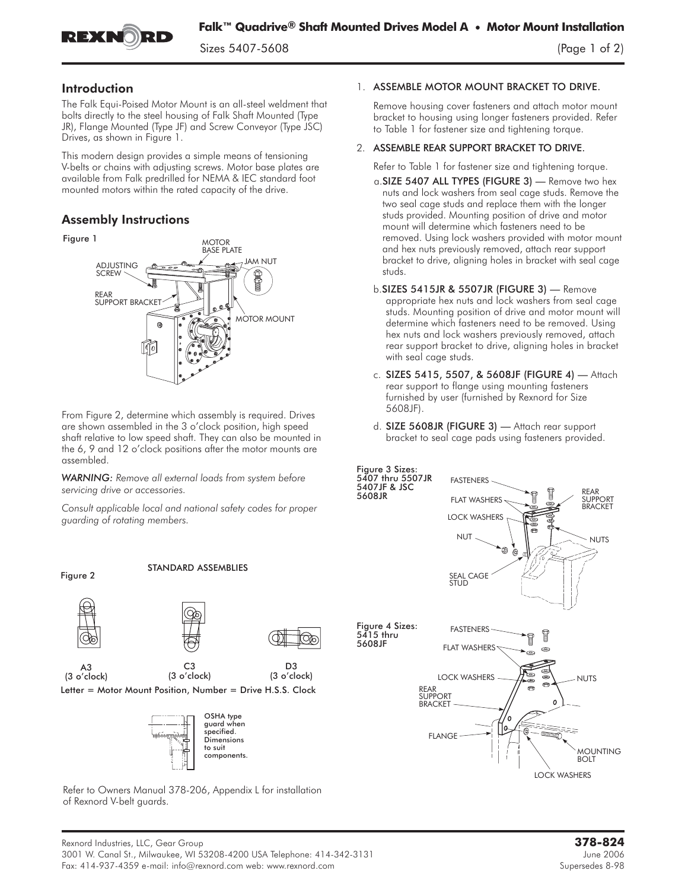

## Introduction

The Falk Equi-Poised Motor Mount is an all-steel weldment that bolts directly to the steel housing of Falk Shaft Mounted (Type JR), Flange Mounted (Type JF) and Screw Conveyor (Type JSC) Drives, as shown in Figure 1.

This modern design provides a simple means of tensioning V-belts or chains with adjusting screws. Motor base plates are available from Falk predrilled for NEMA & IEC standard foot mounted motors within the rated capacity of the drive.

## Assembly Instructions



From Figure 2, determine which assembly is required. Drives are shown assembled in the 3 o'clock position, high speed shaft relative to low speed shaft. They can also be mounted in the 6, 9 and 12 o'clock positions after the motor mounts are assembled.

*WARNING: Remove all external loads from system before servicing drive or accessories.*

*Consult applicable local and national safety codes for proper guarding of rotating members.*





STANDARD ASSEMBLIES







D<sub>3</sub> (3 o'clock)

(3 o'clock) Letter = Motor Mount Position, Number = Drive H.S.S. Clock

C3



Refer to Owners Manual 378-206, Appendix L for installation of Rexnord V-belt guards.

## 1. ASSEMBLE MOTOR MOUNT BRACKET TO DRIVE.

Remove housing cover fasteners and attach motor mount bracket to housing using longer fasteners provided. Refer to Table 1 for fastener size and tightening torque.

## 2. ASSEMBLE REAR SUPPORT BRACKET TO DRIVE.

Refer to Table 1 for fastener size and tightening torque.

- a.SIZE 5407 ALL TYPES (FIGURE 3) Remove two hex nuts and lock washers from seal cage studs. Remove the two seal cage studs and replace them with the longer studs provided. Mounting position of drive and motor mount will determine which fasteners need to be removed. Using lock washers provided with motor mount and hex nuts previously removed, attach rear support bracket to drive, aligning holes in bracket with seal cage studs.
- b.SIZES 5415JR & 5507JR (FIGURE 3) Remove appropriate hex nuts and lock washers from seal cage studs. Mounting position of drive and motor mount will determine which fasteners need to be removed. Using hex nuts and lock washers previously removed, attach rear support bracket to drive, aligning holes in bracket with seal cage studs.
- c. SIZES 5415, 5507, & 5608JF (FIGURE 4) Attach rear support to flange using mounting fasteners furnished by user (furnished by Rexnord for Size 5608JF).
- d. SIZE 5608JR (FIGURE 3) Attach rear support bracket to seal cage pads using fasteners provided.